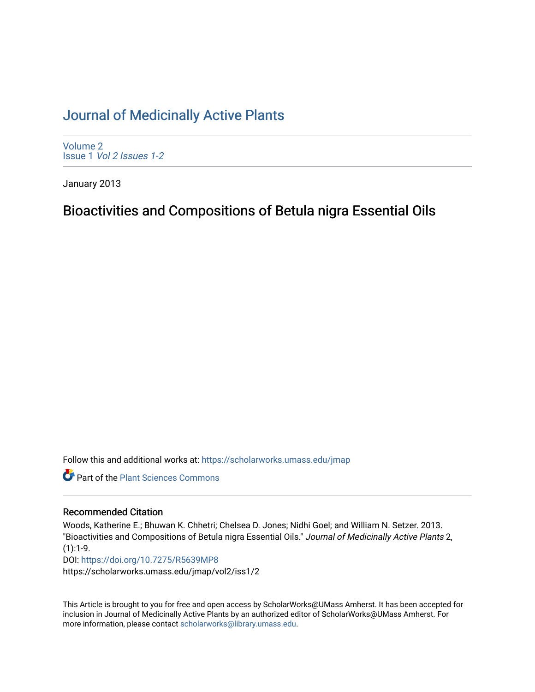## [Journal of Medicinally Active Plants](https://scholarworks.umass.edu/jmap)

[Volume 2](https://scholarworks.umass.edu/jmap/vol2) Issue 1 [Vol 2 Issues 1-2](https://scholarworks.umass.edu/jmap/vol2/iss1)

January 2013

# Bioactivities and Compositions of Betula nigra Essential Oils

Follow this and additional works at: [https://scholarworks.umass.edu/jmap](https://scholarworks.umass.edu/jmap?utm_source=scholarworks.umass.edu%2Fjmap%2Fvol2%2Fiss1%2F2&utm_medium=PDF&utm_campaign=PDFCoverPages) 

**Part of the [Plant Sciences Commons](http://network.bepress.com/hgg/discipline/102?utm_source=scholarworks.umass.edu%2Fjmap%2Fvol2%2Fiss1%2F2&utm_medium=PDF&utm_campaign=PDFCoverPages)** 

#### Recommended Citation

Woods, Katherine E.; Bhuwan K. Chhetri; Chelsea D. Jones; Nidhi Goel; and William N. Setzer. 2013. "Bioactivities and Compositions of Betula nigra Essential Oils." Journal of Medicinally Active Plants 2,  $(1):1-9.$ DOI:<https://doi.org/10.7275/R5639MP8>

https://scholarworks.umass.edu/jmap/vol2/iss1/2

This Article is brought to you for free and open access by ScholarWorks@UMass Amherst. It has been accepted for inclusion in Journal of Medicinally Active Plants by an authorized editor of ScholarWorks@UMass Amherst. For more information, please contact [scholarworks@library.umass.edu](mailto:scholarworks@library.umass.edu).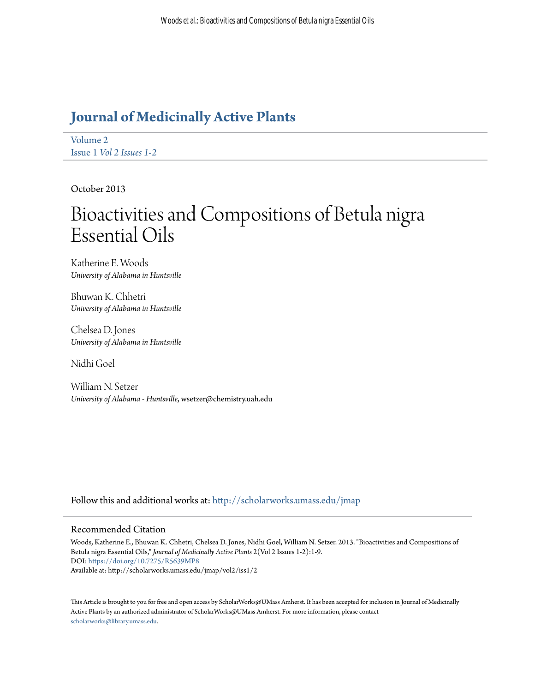# **[Journal of Medicinally Active Plants](http://scholarworks.umass.edu/jmap?utm_source=scholarworks.umass.edu%2Fjmap%2Fvol2%2Fiss1%2F2&utm_medium=PDF&utm_campaign=PDFCoverPages)**

[Volume 2](http://scholarworks.umass.edu/jmap/vol2?utm_source=scholarworks.umass.edu%2Fjmap%2Fvol2%2Fiss1%2F2&utm_medium=PDF&utm_campaign=PDFCoverPages) Issue 1 *[Vol 2 Issues 1-2](http://scholarworks.umass.edu/jmap/vol2/iss1?utm_source=scholarworks.umass.edu%2Fjmap%2Fvol2%2Fiss1%2F2&utm_medium=PDF&utm_campaign=PDFCoverPages)*

October 2013

# Bioactivities and Compositions of Betula nigra Essential Oils

Katherine E. Woods *University of Alabama in Huntsville*

Bhuwan K. Chhetri *University of Alabama in Huntsville*

Chelsea D. Jones *University of Alabama in Huntsville*

Nidhi Goel

William N. Setzer *University of Alabama - Huntsville*, wsetzer@chemistry.uah.edu

Follow this and additional works at: [http://scholarworks.umass.edu/jmap](http://scholarworks.umass.edu/jmap?utm_source=scholarworks.umass.edu%2Fjmap%2Fvol2%2Fiss1%2F2&utm_medium=PDF&utm_campaign=PDFCoverPages)

#### Recommended Citation

Woods, Katherine E., Bhuwan K. Chhetri, Chelsea D. Jones, Nidhi Goel, William N. Setzer. 2013. "Bioactivities and Compositions of Betula nigra Essential Oils," *Journal of Medicinally Active Plants* 2(Vol 2 Issues 1-2):1-9. DOI: <https://doi.org/10.7275/R5639MP8> Available at: http://scholarworks.umass.edu/jmap/vol2/iss1/2

This Article is brought to you for free and open access by ScholarWorks@UMass Amherst. It has been accepted for inclusion in Journal of Medicinally Active Plants by an authorized administrator of ScholarWorks@UMass Amherst. For more information, please contact [scholarworks@library.umass.edu](mailto:scholarworks@library.umass.edu).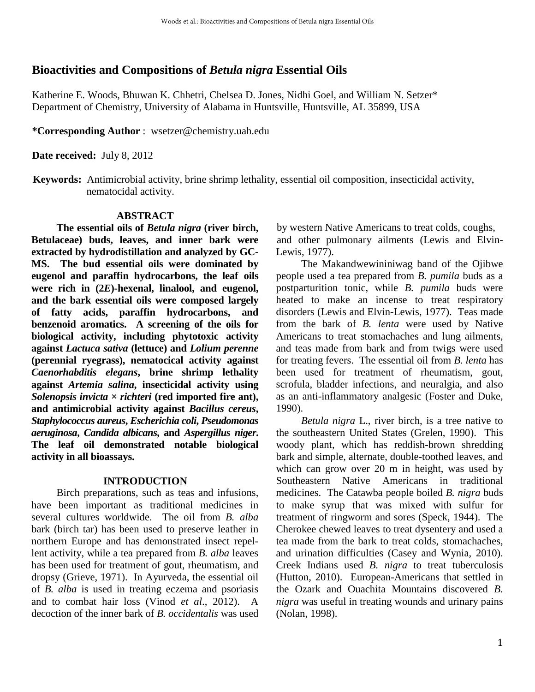## **Bioactivities and Compositions of** *Betula nigra* **Essential Oils**

Katherine E. Woods, Bhuwan K. Chhetri, Chelsea D. Jones, Nidhi Goel, and William N. Setzer\* Department of Chemistry, University of Alabama in Huntsville, Huntsville, AL 35899, USA

**\*Corresponding Author** : wsetzer@chemistry.uah.edu

**Date received:** July 8, 2012

**Keywords:** Antimicrobial activity, brine shrimp lethality, essential oil composition, insecticidal activity, nematocidal activity.

## **ABSTRACT**

**The essential oils of** *Betula nigra* **(river birch, Betulaceae) buds, leaves, and inner bark were extracted by hydrodistillation and analyzed by GC-MS. The bud essential oils were dominated by eugenol and paraffin hydrocarbons, the leaf oils were rich in (2***E***)-hexenal, linalool, and eugenol, and the bark essential oils were composed largely of fatty acids, paraffin hydrocarbons, and benzenoid aromatics. A screening of the oils for biological activity, including phytotoxic activity against** *Lactuca sativa* **(lettuce) and** *Lolium perenne* **(perennial ryegrass), nematocical activity against**  *Caenorhabditis elegans***, brine shrimp lethality against** *Artemia salina***, insecticidal activity using**  *Solenopsis invicta*  $\times$  *richteri* (red imported fire ant), **and antimicrobial activity against** *Bacillus cereus***,**  *Staphylococcus aureus***,** *Escherichia coli***,** *Pseudomonas aeruginosa***,** *Candida albicans***, and** *Aspergillus niger***. The leaf oil demonstrated notable biological activity in all bioassays.** 

## **INTRODUCTION**

Birch preparations, such as teas and infusions, have been important as traditional medicines in several cultures worldwide. The oil from *B. alba* bark (birch tar) has been used to preserve leather in northern Europe and has demonstrated insect repellent activity, while a tea prepared from *B. alba* leaves has been used for treatment of gout, rheumatism, and dropsy (Grieve, 1971). In Ayurveda, the essential oil of *B. alba* is used in treating eczema and psoriasis and to combat hair loss (Vinod *et al*., 2012). A decoction of the inner bark of *B. occidentalis* was used

by western Native Americans to treat colds, coughs, and other pulmonary ailments (Lewis and Elvin-Lewis, 1977).

The Makandwewininiwag band of the Ojibwe people used a tea prepared from *B. pumila* buds as a postparturition tonic, while *B. pumila* buds were heated to make an incense to treat respiratory disorders (Lewis and Elvin-Lewis, 1977). Teas made from the bark of *B. lenta* were used by Native Americans to treat stomachaches and lung ailments, and teas made from bark and from twigs were used for treating fevers. The essential oil from *B. lenta* has been used for treatment of rheumatism, gout, scrofula, bladder infections, and neuralgia, and also as an anti-inflammatory analgesic (Foster and Duke, 1990).

*Betula nigra* L., river birch, is a tree native to the southeastern United States (Grelen, 1990). This woody plant, which has reddish-brown shredding bark and simple, alternate, double-toothed leaves, and which can grow over 20 m in height, was used by Southeastern Native Americans in traditional medicines. The Catawba people boiled *B. nigra* buds to make syrup that was mixed with sulfur for treatment of ringworm and sores (Speck, 1944). The Cherokee chewed leaves to treat dysentery and used a tea made from the bark to treat colds, stomachaches, and urination difficulties (Casey and Wynia, 2010). Creek Indians used *B. nigra* to treat tuberculosis (Hutton, 2010). European-Americans that settled in the Ozark and Ouachita Mountains discovered *B. nigra* was useful in treating wounds and urinary pains (Nolan, 1998).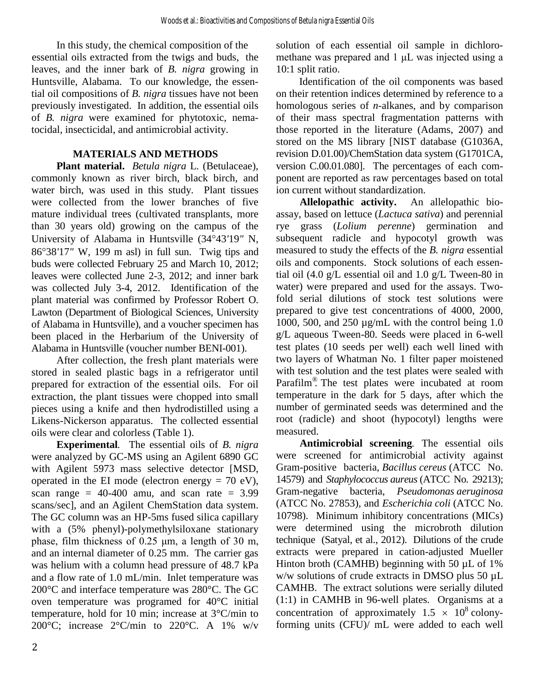In this study, the chemical composition of the essential oils extracted from the twigs and buds, the leaves, and the inner bark of *B. nigra* growing in Huntsville, Alabama. To our knowledge, the essential oil compositions of *B. nigra* tissues have not been previously investigated. In addition, the essential oils of *B. nigra* were examined for phytotoxic, nematocidal, insecticidal, and antimicrobial activity.

#### **MATERIALS AND METHODS**

**Plant material.** *Betula nigra* L. (Betulaceae), commonly known as river birch, black birch, and water birch, was used in this study. Plant tissues were collected from the lower branches of five mature individual trees (cultivated transplants, more than 30 years old) growing on the campus of the University of Alabama in Huntsville (34°43*'*19*"* N, 86°38*'*17*"* W, 199 m asl) in full sun. Twig tips and buds were collected February 25 and March 10, 2012; leaves were collected June 2-3, 2012; and inner bark was collected July 3-4, 2012. Identification of the plant material was confirmed by Professor Robert O. Lawton (Department of Biological Sciences, University of Alabama in Huntsville), and a voucher specimen has been placed in the Herbarium of the University of Alabama in Huntsville (voucher number BENI-001).

After collection, the fresh plant materials were stored in sealed plastic bags in a refrigerator until prepared for extraction of the essential oils. For oil extraction, the plant tissues were chopped into small pieces using a knife and then hydrodistilled using a Likens-Nickerson apparatus. The collected essential oils were clear and colorless (Table 1).

**Experimental***.* The essential oils of *B. nigra* were analyzed by GC-MS using an Agilent 6890 GC with Agilent 5973 mass selective detector [MSD, operated in the EI mode (electron energy  $= 70$  eV), scan range =  $40-400$  amu, and scan rate =  $3.99$ scans/sec], and an Agilent ChemStation data system. The GC column was an HP-5ms fused silica capillary with a (5% phenyl)-polymethylsiloxane stationary phase, film thickness of 0.25 μm, a length of 30 m, and an internal diameter of 0.25 mm. The carrier gas was helium with a column head pressure of 48.7 kPa and a flow rate of 1.0 mL/min. Inlet temperature was 200°C and interface temperature was 280°C. The GC oven temperature was programed for 40°C initial temperature, hold for 10 min; increase at 3°C/min to 200 $^{\circ}$ C; increase 2 $^{\circ}$ C/min to 220 $^{\circ}$ C. A 1% w/v solution of each essential oil sample in dichloromethane was prepared and 1 μL was injected using a 10:1 split ratio.

 Identification of the oil components was based on their retention indices determined by reference to a homologous series of *n*-alkanes, and by comparison of their mass spectral fragmentation patterns with those reported in the literature (Adams, 2007) and stored on the MS library [NIST database (G1036A, revision D.01.00)/ChemStation data system (G1701CA, version C.00.01.080]. The percentages of each component are reported as raw percentages based on total ion current without standardization.

**Allelopathic activity.**An allelopathic bioassay, based on lettuce (*Lactuca sativa*) and perennial rye grass (*Lolium perenne*) germination and subsequent radicle and hypocotyl growth was measured to study the effects of the *B. nigra* essential oils and components. Stock solutions of each essential oil (4.0 g/L essential oil and 1.0 g/L Tween-80 in water) were prepared and used for the assays. Twofold serial dilutions of stock test solutions were prepared to give test concentrations of 4000, 2000, 1000, 500, and 250 µg/mL with the control being 1.0 g/L aqueous Tween-80. Seeds were placed in 6-well test plates (10 seeds per well) each well lined with two layers of Whatman No. 1 filter paper moistened with test solution and the test plates were sealed with Parafilm<sup>®</sup>. The test plates were incubated at room temperature in the dark for 5 days, after which the number of germinated seeds was determined and the root (radicle) and shoot (hypocotyl) lengths were measured.

**Antimicrobial screening***.* The essential oils were screened for antimicrobial activity against Gram-positive bacteria, *Bacillus cereus* (ATCC No. 14579) and *Staphylococcus aureus* (ATCC No. 29213); Gram-negative bacteria, *Pseudomonas aeruginosa* (ATCC No. 27853), and *Escherichia coli* (ATCC No. 10798). Minimum inhibitory concentrations (MICs) were determined using the microbroth dilution technique (Satyal, et al., 2012). Dilutions of the crude extracts were prepared in cation-adjusted Mueller Hinton broth (CAMHB) beginning with 50  $\mu$ L of 1% w/w solutions of crude extracts in DMSO plus 50 µL CAMHB. The extract solutions were serially diluted (1:1) in CAMHB in 96-well plates. Organisms at a concentration of approximately  $1.5 \times 10^8$  colonyforming units (CFU)/ mL were added to each well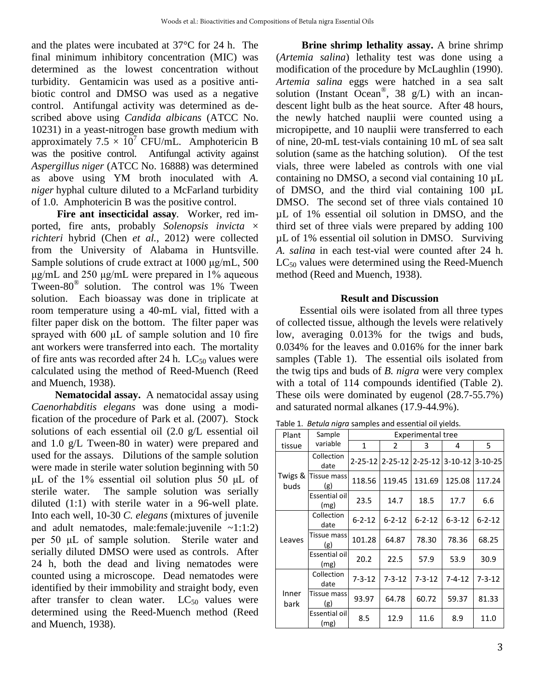and the plates were incubated at 37°C for 24 h. The final minimum inhibitory concentration (MIC) was determined as the lowest concentration without turbidity. Gentamicin was used as a positive antibiotic control and DMSO was used as a negative control. Antifungal activity was determined as described above using *Candida albicans* (ATCC No. 10231) in a yeast-nitrogen base growth medium with approximately  $7.5 \times 10^7$  CFU/mL. Amphotericin B was the positive control. Antifungal activity against *Aspergillus niger* (ATCC No. 16888) was determined as above using YM broth inoculated with *A. niger* hyphal culture diluted to a McFarland turbidity of 1.0. Amphotericin B was the positive control.

**Fire ant insecticidal assay***.* Worker, red imported, fire ants, probably *Solenopsis invicta* × *richteri* hybrid (Chen *et al.*, 2012) were collected from the University of Alabama in Huntsville. Sample solutions of crude extract at 1000 μg/mL, 500 μg/mL and 250 μg/mL were prepared in 1% aqueous Tween-80® solution. The control was 1% Tween solution. Each bioassay was done in triplicate at room temperature using a 40-mL vial, fitted with a filter paper disk on the bottom. The filter paper was sprayed with 600 μL of sample solution and 10 fire ant workers were transferred into each. The mortality of fire ants was recorded after 24 h.  $LC_{50}$  values were calculated using the method of Reed-Muench (Reed and Muench, 1938).

**Nematocidal assay.** A nematocidal assay using *Caenorhabditis elegans* was done using a modification of the procedure of Park et al. (2007). Stock solutions of each essential oil (2.0 g/L essential oil and 1.0 g/L Tween-80 in water) were prepared and used for the assays. Dilutions of the sample solution were made in sterile water solution beginning with 50 μL of the 1% essential oil solution plus 50 μL of sterile water. The sample solution was serially diluted (1:1) with sterile water in a 96-well plate. Into each well, 10-30 *C. elegans* (mixtures of juvenile and adult nematodes, male:female:*juvenile*  $~1:1:2$ ) per 50 μL of sample solution. Sterile water and serially diluted DMSO were used as controls. After 24 h, both the dead and living nematodes were counted using a microscope. Dead nematodes were identified by their immobility and straight body, even after transfer to clean water.  $LC_{50}$  values were determined using the Reed-Muench method (Reed and Muench, 1938).

**Brine shrimp lethality assay.** A brine shrimp (*Artemia salina*) lethality test was done using a modification of the procedure by McLaughlin (1990). *Artemia salina* eggs were hatched in a sea salt solution (Instant Ocean<sup>®</sup>, 38 g/L) with an incandescent light bulb as the heat source. After 48 hours, the newly hatched nauplii were counted using a micropipette, and 10 nauplii were transferred to each of nine, 20-mL test-vials containing 10 mL of sea salt solution (same as the hatching solution). Of the test vials, three were labeled as controls with one vial containing no DMSO, a second vial containing  $10 \mu L$ of DMSO, and the third vial containing 100 µL DMSO. The second set of three vials contained 10 µL of 1% essential oil solution in DMSO, and the third set of three vials were prepared by adding 100 µL of 1% essential oil solution in DMSO. Surviving *A. salina* in each test-vial were counted after 24 h.  $LC_{50}$  values were determined using the Reed-Muench method (Reed and Muench, 1938).

#### **Result and Discussion**

Essential oils were isolated from all three types of collected tissue, although the levels were relatively low, averaging 0.013% for the twigs and buds, 0.034% for the leaves and 0.016% for the inner bark samples (Table 1). The essential oils isolated from the twig tips and buds of *B. nigra* were very complex with a total of 114 compounds identified (Table 2). These oils were dominated by eugenol (28.7-55.7%) and saturated normal alkanes (17.9-44.9%).

Table 1. *Betula nigra* samples and essential oil yields.

| Plant           | Sample                | <b>Experimental tree</b> |              |              |                                 |              |  |  |
|-----------------|-----------------------|--------------------------|--------------|--------------|---------------------------------|--------------|--|--|
| tissue          | variable              | 1                        | 2            | 3            | 4                               | 5.           |  |  |
|                 | Collection<br>date    | $2 - 25 - 12$            |              |              | 2-25-12 2-25-12 3-10-12 3-10-25 |              |  |  |
| Twigs &<br>buds | Tissue mass<br>(g)    | 118.56                   | 119.45       | 131.69       | 125.08                          | 117.24       |  |  |
|                 | Essential oil<br>(mg) | 23.5                     | 14.7         | 18.5         | 17.7                            | 6.6          |  |  |
|                 | Collection<br>date    | $6 - 2 - 12$             | $6 - 2 - 12$ | $6 - 2 - 12$ | $6 - 3 - 12$                    | $6 - 2 - 12$ |  |  |
| Leaves          | Tissue mass<br>(g)    | 101.28                   | 64.87        | 78.30        | 78.36                           | 68.25        |  |  |
|                 | Essential oil<br>(mg) | 20.2                     | 22.5         | 57.9         | 53.9                            | 30.9         |  |  |
|                 | Collection<br>date    | $7 - 3 - 12$             | $7 - 3 - 12$ | $7 - 3 - 12$ | $7 - 4 - 12$                    | $7 - 3 - 12$ |  |  |
| Inner<br>bark   | Tissue mass<br>(g)    | 93.97                    | 64.78        | 60.72        | 59.37                           | 81.33        |  |  |
|                 | Essential oil<br>(mg) | 8.5                      | 12.9         | 11.6         | 8.9                             | 11.0         |  |  |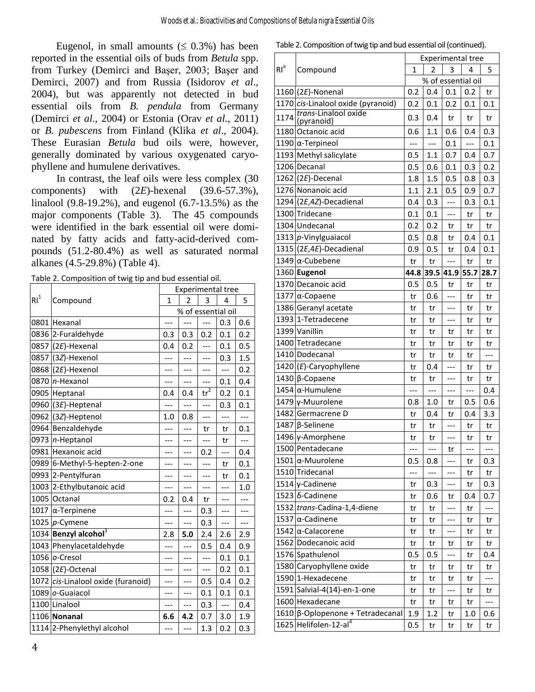Eugenol, in small amounts ( $\leq 0.3\%$ ) has been reported in the essential oils of buds from *Betula* spp. from Turkey (Demirci and Başer, 2003; Başer and Demirci, 2007) and from Russia (Isidorov *et al*., 2004), but was apparently not detected in bud essential oils from *B. pendula* from Germany (Demirci *et al*., 2004) or Estonia (Orav *et al.*, 2011) or *B. pubescens* from Finland (Klika *et al*., 2004). These Eurasian *Betula* bud oils were, however, generally dominated by various oxygenated caryophyllene and humulene derivatives.

In contrast, the leaf oils were less complex (30 components) with (2*E*)-hexenal (39.6-57.3%), linalool (9.8-19.2%), and eugenol (6.7-13.5%) as the major components (Table 3). The 45 compounds were identified in the bark essential oil were dominated by fatty acids and fatty-acid-derived compounds (51.2-80.4%) as well as saturated normal alkanes (4.5-29.8%) (Table 4).

Table 2. Composition of twig tip and bud essential oil.

|                 | Compound                           | <b>Experimental tree</b> |                |               |                    |       |  |
|-----------------|------------------------------------|--------------------------|----------------|---------------|--------------------|-------|--|
| RI <sup>1</sup> |                                    | $\mathbf{1}$             | $\overline{2}$ | 3             | 4                  | 5     |  |
|                 |                                    |                          |                |               | % of essential oil |       |  |
|                 | 0801 Hexanal                       | ---                      | ---            | ---           | 0.3                | 0.6   |  |
|                 | 0836 2-Furaldehyde                 | 0.3                      | 0.3            | 0.2           | 0.1                | 0.2   |  |
|                 | 0857 (2 $E$ )-Hexenal              | 0.4                      | 0.2            | ---           | 0.1                | 0.5   |  |
| 0857            | (3Z)-Hexenol                       | ---                      | ---            | ---           | 0.3                | 1.5   |  |
|                 | 0868 (2E)-Hexenol                  | ---                      | ---            | ---           | $---$              | 0.2   |  |
|                 | 0870   n-Hexanol                   | ---                      | ---            | ---           | 0.1                | 0.4   |  |
|                 | 0905 Heptanal                      | 0.4                      | 0.4            | $\text{tr}^2$ | 0.2                | 0.1   |  |
|                 | 0960 (3E)-Heptenal                 | ---                      | ---            | ---           | 0.3                | 0.1   |  |
|                 | 0962 (3Z)-Heptenol                 | 1.0                      | 0.8            | ---           | ---                | ---   |  |
|                 | 0964 Benzaldehyde                  | ---                      | ---            | tr            | tr                 | 0.1   |  |
|                 | 0973 n-Heptanol                    | ---                      | ---            | ---           | tr                 | $---$ |  |
|                 | 0981 Hexanoic acid                 | ---                      | ---            | 0.2           | ---                | 0.4   |  |
|                 | 0989 6-Methyl-5-hepten-2-one       | ---                      | ---            | ---           | tr                 | 0.1   |  |
|                 | 0993 2-Pentylfuran                 | ---                      | ---            | ---           | tr                 | 0.1   |  |
|                 | 1003 2-Ethylbutanoic acid          | ---                      | ---            | ---           | ---                | 1.0   |  |
|                 | 1005 Octanal                       | 0.2                      | 0.4            | tr            |                    | ---   |  |
|                 | 1017 $\alpha$ -Terpinene           | ---                      |                | 0.3           | ---                | ---   |  |
|                 | 1025 $p$ -Cymene                   | ---                      | $---$          | 0.3           | $---$              | ---   |  |
|                 | 1034 Benzyl alcohol <sup>3</sup>   | 2.8                      | 5.0            | 2.4           | 2.6                | 2.9   |  |
|                 | 1043 Phenylacetaldehyde            | ---                      | ---            | 0.5           | 0.4                | 0.9   |  |
|                 | 1056 o-Cresol                      | ---                      | ---            | ---           | 0.1                | 0.1   |  |
|                 | $1058$ (2 <i>E</i> )-Octenal       | ---                      | ---            | ---           | 0.2                | 0.1   |  |
|                 | 1072 cis-Linalool oxide (furanoid) | ---                      |                | 0.5           | 0.4                | 0.2   |  |
|                 | 1089 o-Guaiacol                    | ---                      | ---            | 0.1           | 0.1                | 0.1   |  |
|                 | 1100 Linalool                      | ---                      | ---            | 0.3           | $---$              | 0.4   |  |
|                 | 1106 Nonanal                       | 6.6                      | 4.2            | 0.7           | 3.0                | 1.9   |  |
|                 | 1114 2-Phenylethyl alcohol         | ---                      | ---            | 1.3           | 0.2                | 0.3   |  |

| Table 2. Composition of twig tip and bud essential oil (continued). |
|---------------------------------------------------------------------|
|---------------------------------------------------------------------|

|        |                                                            |      |       |       | <b>Experimental tree</b> |                          |
|--------|------------------------------------------------------------|------|-------|-------|--------------------------|--------------------------|
| $RI^a$ | Compound                                                   | 1    | 2     | 3     | 4                        | 5                        |
|        |                                                            |      |       |       | % of essential oil       |                          |
|        | $1160$ (2E)-Nonenal                                        | 0.2  | 0.4   | 0.1   | 0.2                      | tr                       |
|        | 1170 cis-Linalool oxide (pyranoid)<br>trans-Linalool oxide | 0.2  | 0.1   | 0.2   | 0.1                      | 0.1                      |
| 1174   | (pyranoid)                                                 | 0.3  | 0.4   | tr    | tr                       | tr                       |
|        | 1180 Octanoic acid                                         | 0.6  | 1.1   | 0.6   | 0.4                      | 0.3                      |
|        | 1190 $\alpha$ -Terpineol                                   | ---  | $---$ | 0.1   | $---$                    | 0.1                      |
|        | 1193 Methyl salicylate                                     | 0.5  | 1.1   | 0.7   | 0.4                      | 0.7                      |
|        | 1206 Decanal                                               | 0.5  | 0.6   | 0.1   | 0.3                      | 0.2                      |
|        | 1262 (2E)-Decenal                                          | 1.8  | 1.5   | 0.5   | 0.8                      | 0.3                      |
|        | 1276 Nonanoic acid                                         | 1.1  | 2.1   | 0.5   | 0.9                      | 0.7                      |
|        | 1294 (2E,4Z)-Decadienal                                    | 0.4  | 0.3   | ---   | 0.3                      | 0.1                      |
|        | 1300 Tridecane                                             | 0.1  | 0.1   | $---$ | tr                       | tr                       |
|        | 1304 Undecanal                                             | 0.2  | 0.2   | tr    | tr                       | tr                       |
|        | 1313 p-Vinylguaiacol                                       | 0.5  | 0.8   | tr    | 0.4                      | 0.1                      |
|        | $1315$ (2 <i>E</i> , 4 <i>E</i> )-Decadienal               | 0.9  | 0.5   | tr    | 0.4                      | 0.1                      |
|        | 1349 $\alpha$ -Cubebene                                    | tr   | tr    | $---$ | tr                       | tr                       |
|        | 1360 Eugenol                                               | 44.8 | 39.5  | 41.9  | 55.7                     | 28.7                     |
|        | 1370 Decanoic acid                                         | 0.5  | 0.5   | tr    | tr                       | tr                       |
|        | 1377   α-Copaene                                           | tr   | 0.6   | ---   | tr                       | tr                       |
|        | 1386 Geranyl acetate                                       | tr   | tr    | ---   | tr                       | tr                       |
|        | 1393 1-Tetradecene                                         | tr   | tr    | ---   | tr                       | tr                       |
|        | 1399 Vanillin                                              | tr   | tr    | tr    | tr                       | tr                       |
|        | 1400 Tetradecane                                           | tr   | tr    | tr    | tr                       | tr                       |
|        | 1410 Dodecanal                                             | tr   | tr    | tr    | tr                       | $\overline{\phantom{a}}$ |
|        | $1420$ ( <i>E</i> )-Caryophyllene                          | tr   | 0.4   | ---   | tr                       | tr                       |
|        | 1430 $\beta$ -Copaene                                      | tr   | tr    | ---   | tr                       | tr                       |
|        | 1454 $α$ -Humulene                                         | ---  | $---$ | ---   | ---                      | 0.4                      |
|        | 1479 γ-Muurolene                                           | 0.8  | 1.0   | tr    | 0.5                      | 0.6                      |
|        | 1482 Germacrene D                                          | tr   | 0.4   | tr    | 0.4                      | 3.3                      |
|        | 1487 $\beta$ -Selinene                                     | tr   | tr    | ---   | tr                       | tr                       |
|        | 1496 γ-Amorphene                                           | tr   | tr    | ---   | tr                       | tr                       |
|        | 1500 Pentadecane                                           | ---  | ---   | tr    | ---                      | ---                      |
|        | 1501 $\alpha$ -Muurolene                                   | 0.5  | 0.8   |       | tr                       | 0.3                      |
|        | 1510 Tridecanal                                            | ---  | ---   | ---   | tr                       | tr                       |
|        | 1514 γ-Cadinene                                            | tr   | 0.3   | ---   | tr                       | 0.3                      |
|        | 1523 δ-Cadinene                                            | tr   | 0.6   | tr    | 0.4                      | 0.7                      |
| 1532   | trans-Cadina-1,4-diene                                     | tr   | tr    | ---   | tr                       | ---                      |
| 1537   | $\alpha$ -Cadinene                                         | tr   | tr    | ---   | tr                       | tr                       |
|        | 1542   α-Calacorene                                        | tr   | tr    | ---   | tr                       | tr                       |
|        | 1562 Dodecanoic acid                                       | tr   | tr    | tr    | tr                       | tr                       |
|        | 1576 Spathulenol                                           | 0.5  | 0.5   | ---   | tr                       | 0.4                      |
|        | 1580 Caryophyllene oxide                                   | tr   | tr    | tr    | tr                       | tr                       |
|        | 1590 1-Hexadecene                                          | tr   | tr    | tr    | tr                       |                          |
|        | 1591 Salvial-4(14)-en-1-one                                | tr   | tr    | ---   | tr                       | tr                       |
| 1600   | Hexadecane                                                 | tr   | tr    | tr    | tr                       | ---                      |
| 1610   | $\beta$ -Oplopenone + Tetradecanal                         | 1.9  | 1.2   | tr    | 1.0                      | 0.6                      |
|        | 1625 Helifolen-12-al <sup>4</sup>                          | 0.5  | tr    | tr    | tr                       | tr                       |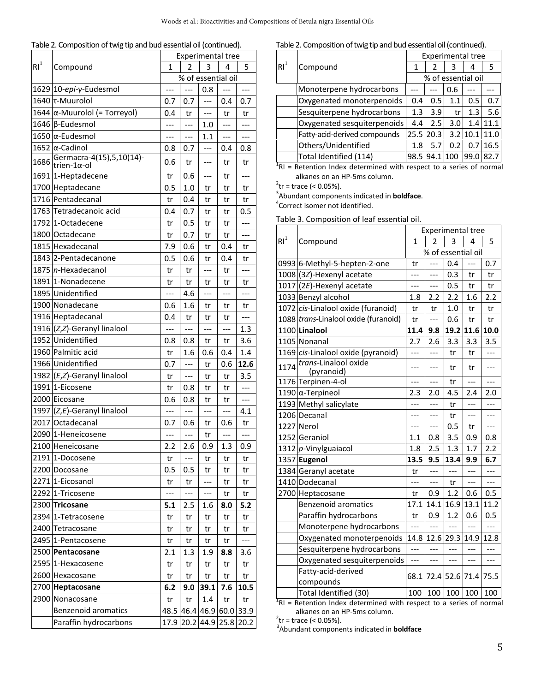|  |  | Table 2. Composition of twig tip and bud essential oil (continued). |
|--|--|---------------------------------------------------------------------|
|  |  |                                                                     |

|                 |                                                    | <b>Experimental tree</b> |                          |       |       |       |  |  |
|-----------------|----------------------------------------------------|--------------------------|--------------------------|-------|-------|-------|--|--|
| RI <sup>1</sup> | Compound                                           | 1                        | 2                        | 3     | 4     | 5     |  |  |
|                 |                                                    |                          | % of essential oil       |       |       |       |  |  |
|                 | 1629 10-epi-γ-Eudesmol                             | $---$                    |                          | 0.8   |       | ---   |  |  |
|                 | 1640  τ-Muurolol                                   | 0.7                      | 0.7                      | ---   | 0.4   | 0.7   |  |  |
|                 | 1644 α-Muurolol (= Torreyol)                       | 0.4                      | tr                       | $---$ | tr    | tr    |  |  |
|                 | 1646 β-Eudesmol                                    | ---                      | ---                      | 1.0   | ---   | ---   |  |  |
|                 | 1650   α-Eudesmol                                  | ---                      | ---                      | 1.1   | ---   | ---   |  |  |
|                 | 1652   α-Cadinol                                   | 0.8                      | 0.7                      | ---   | 0.4   | 0.8   |  |  |
| 1686            | Germacra-4(15), 5, 10(14)-<br>trien-1 $\alpha$ -ol | 0.6                      | tr                       | ---   | tr    | tr    |  |  |
|                 | 1691 1-Heptadecene                                 | tr                       | 0.6                      | ---   | tr    | ---   |  |  |
|                 | 1700 Heptadecane                                   | 0.5                      | 1.0                      | tr    | tr    | tr    |  |  |
|                 | 1716 Pentadecanal                                  | tr                       | 0.4                      | tr    | tr    | tr    |  |  |
|                 | 1763 Tetradecanoic acid                            | 0.4                      | 0.7                      | tr    | tr    | 0.5   |  |  |
|                 | 1792 1-Octadecene                                  | tr                       | 0.5                      | tr    | tr    | ---   |  |  |
|                 | 1800 Octadecane                                    | tr                       | 0.7                      | tr    | tr    | ---   |  |  |
|                 | 1815 Hexadecanal                                   | 7.9                      | 0.6                      | tr    | 0.4   | tr    |  |  |
|                 | 1843 2-Pentadecanone                               | 0.5                      | 0.6                      | tr    | 0.4   | tr    |  |  |
|                 | 1875 n-Hexadecanol                                 | tr                       | tr                       | ---   | tr    | ---   |  |  |
|                 | 1891 1-Nonadecene                                  | tr                       | tr                       | tr    | tr    | tr    |  |  |
|                 | 1895 Unidentified                                  | ---                      | 4.6                      | ---   | ---   | ---   |  |  |
|                 | 1900 Nonadecane                                    | 0.6                      | 1.6                      | tr    | tr    | tr    |  |  |
|                 | 1916 Heptadecanal                                  | 0.4                      | tr                       | tr    | tr    | ---   |  |  |
|                 | 1916 (Z,Z)-Geranyl linalool                        | ---                      | $\overline{a}$           | ---   | ---   | 1.3   |  |  |
|                 | 1952 Unidentified                                  | 0.8                      | 0.8                      | tr    | tr    | 3.6   |  |  |
|                 | 1960 Palmitic acid                                 | tr                       | 1.6                      | 0.6   | 0.4   | 1.4   |  |  |
|                 | 1966 Unidentified                                  | 0.7                      | ---                      | tr    | 0.6   | 12.6  |  |  |
|                 | 1982 (E,Z)-Geranyl linalool                        | tr                       | ---                      | tr    | tr    | 3.5   |  |  |
|                 | 1991 1-Eicosene                                    | tr                       | 0.8                      | tr    | tr    | $---$ |  |  |
|                 | 2000 Eicosane                                      | 0.6                      | 0.8                      | tr    | tr    | $---$ |  |  |
|                 | 1997 (Z,E)-Geranyl linalool                        | $---$                    | $\overline{\phantom{a}}$ | ---   | $---$ | 4.1   |  |  |
|                 | 2017 Octadecanal                                   | 0.7                      | 0.6                      | tr    | 0.6   | tr    |  |  |
|                 | 2090 1-Heneicosene                                 | ---                      | $---$                    | tr    | ---   | ---   |  |  |
|                 | 2100 Heneicosane                                   | 2.2                      | 2.6                      | 0.9   | 1.3   | 0.9   |  |  |
|                 | 2191 1-Docosene                                    | tr                       | ---                      | tr    | tr    | tr    |  |  |
|                 | 2200 Docosane                                      | 0.5                      | 0.5                      | tr    | tr    | tr    |  |  |
|                 | 2271 1-Eicosanol                                   | tr                       | tr                       | ---   | tr    | tr    |  |  |
|                 | 2292 1-Tricosene                                   |                          | ---                      | ---   | tr    | tr    |  |  |
|                 | 2300 Tricosane                                     | 5.1                      | 2.5                      | 1.6   | 8.0   | 5.2   |  |  |
|                 | 2394 1-Tetracosene                                 | tr                       | tr                       | tr    | tr    | tr    |  |  |
|                 | 2400 Tetracosane                                   | tr                       | tr                       | tr    | tr    | tr    |  |  |
|                 | 2495 1-Pentacosene                                 | tr                       | tr                       | tr    | tr    |       |  |  |
|                 | 2500 Pentacosane                                   | 2.1                      | 1.3                      | 1.9   | 8.8   | 3.6   |  |  |
|                 | 2595 1-Hexacosene                                  | tr                       | tr                       | tr    | tr    | tr    |  |  |
|                 | 2600 Hexacosane                                    | tr                       | tr                       | tr    | tr    | tr    |  |  |
|                 | 2700 Heptacosane                                   | 6.2                      | 9.0                      | 39.1  | 7.6   | 10.5  |  |  |
|                 | 2900 Nonacosane                                    | tr                       | tr                       | 1.4   | tr    | tr    |  |  |
|                 | <b>Benzenoid aromatics</b>                         | 48.5                     | 46.4                     | 46.9  | 60.0  | 33.9  |  |  |
|                 | Paraffin hydrocarbons                              | 17.9                     | 20.2                     | 44.9  | 25.8  | 20.2  |  |  |

Table 2. Composition of twig tip and bud essential oil (continued).

|                 |                              | <b>Experimental tree</b> |           |     |                    |      |  |
|-----------------|------------------------------|--------------------------|-----------|-----|--------------------|------|--|
| R1 <sup>1</sup> | Compound                     | 1                        | 2         | 3   | 4                  |      |  |
|                 |                              |                          |           |     | % of essential oil |      |  |
|                 | Monoterpene hydrocarbons     |                          |           | 0.6 |                    |      |  |
|                 | Oxygenated monoterpenoids    | 0.4                      | 0.5       | 1.1 | 0.5                | 0.7  |  |
|                 | Sesquiterpene hydrocarbons   | 1.3                      | 3.9       | tr  | 1.3                | 5.6  |  |
|                 | Oxygenated sesquiterpenoids  | 4.4                      | 2.5       | 3.0 | 1.4                | 11.1 |  |
|                 | Fatty-acid-derived compounds |                          | 25.5 20.3 |     | 3.2 10.1           | 11.0 |  |
|                 | Others/Unidentified          | 1.8                      | 5.7       | 0.2 | 0.7                | 16.5 |  |
|                 | Total Identified (114)       | 98.5                     | 94.1      | 100 | 99.0               | 82.7 |  |

 $<sup>1</sup>$ RI = Retention Index determined with respect to a series of normal</sup> alkanes on an HP-5ms column.

<sup>t</sup>r = trace (< 0.05%).

Abundant components indicated in **boldface**. 4

Correct isomer not identified.

Table 3. Composition of leaf essential oil.

|                 | Compound                                                              | <b>Experimental tree</b> |                          |                |       |       |  |  |
|-----------------|-----------------------------------------------------------------------|--------------------------|--------------------------|----------------|-------|-------|--|--|
| $\mathsf{RI}^1$ |                                                                       | $\mathbf{1}$             | $\overline{\mathcal{L}}$ | 3              | 4     | 5     |  |  |
|                 |                                                                       |                          | % of essential oil       |                |       |       |  |  |
|                 | 0993 6-Methyl-5-hepten-2-one                                          | tr                       | $\overline{a}$           | 0.4            | $---$ | 0.7   |  |  |
|                 | 1008 (3Z)-Hexenyl acetate                                             | ---                      | ---                      | 0.3            | tr    | tr    |  |  |
|                 | $1017$ (2E)-Hexenyl acetate                                           | ---                      | ---                      | 0.5            | tr    | tr    |  |  |
|                 | 1033 Benzyl alcohol                                                   | 1.8                      | 2.2                      | 2.2            | 1.6   | 2.2   |  |  |
|                 | 1072 cis-Linalool oxide (furanoid)                                    | tr                       | tr                       | 1.0            | tr    | tr    |  |  |
|                 | 1088 trans-Linalool oxide (furanoid)                                  | tr                       | ---                      | 0.6            | tr    | tr    |  |  |
|                 | 1100 Linalool                                                         | 11.4                     | 9.8                      | 19.2           | 11.6  | 10.0  |  |  |
|                 | 1105 Nonanal                                                          | 2.7                      | 2.6                      | 3.3            | 3.3   | 3.5   |  |  |
|                 | 1169 cis-Linalool oxide (pyranoid)                                    | ---                      | ---                      | tr             | tr    | ---   |  |  |
| 1174            | trans-Linalool oxide<br>(pyranoid)                                    | ---                      | ---                      | tr             | tr    | ---   |  |  |
|                 | 1176 Terpinen-4-ol                                                    | $---$                    | $---$                    | tr             | $---$ | $---$ |  |  |
|                 | 1190 $\alpha$ -Terpineol                                              | 2.3                      | 2.0                      | 4.5            | 2.4   | 2.0   |  |  |
|                 | 1193 Methyl salicylate                                                | ---                      |                          | tr             | ---   |       |  |  |
|                 | 1206 Decanal                                                          | ---                      | ---                      | tr             | ---   |       |  |  |
|                 | 1227 Nerol                                                            | ---                      | ---                      | 0.5            | tr    | ---   |  |  |
|                 | 1252 Geraniol                                                         | 1.1                      | 0.8                      | 3.5            | 0.9   | 0.8   |  |  |
|                 | 1312 p-Vinylguaiacol                                                  | 1.8                      | 2.5                      | 1.3            | 1.7   | 2.2   |  |  |
|                 | 1357 Eugenol                                                          | 13.5                     | 9.5                      | 13.4           | 9.9   | 6.7   |  |  |
|                 | 1384 Geranyl acetate                                                  | tr                       | ---                      | ---            | ---   | ---   |  |  |
|                 | 1410 Dodecanal                                                        | ---                      | ---                      | tr             | $---$ | ---   |  |  |
|                 | 2700 Heptacosane                                                      | tr                       | 0.9                      | 1.2            | 0.6   | 0.5   |  |  |
|                 | <b>Benzenoid aromatics</b>                                            | 17.1                     | 14.1                     | 16.9           | 13.1  | 11.2  |  |  |
|                 | Paraffin hydrocarbons                                                 | tr                       | 0.9                      | 1.2            | 0.6   | 0.5   |  |  |
|                 | Monoterpene hydrocarbons                                              |                          | $---$                    | $\overline{a}$ | $---$ |       |  |  |
|                 | Oxygenated monoterpenoids                                             | 14.8                     | 12.6                     | 29.3           | 14.9  | 12.8  |  |  |
|                 | Sesquiterpene hydrocarbons                                            | $---$                    | ---                      | ---            | ---   | ---   |  |  |
|                 | Oxygenated sesquiterpenoids                                           | ---                      | ---                      | ---            | ---   | ---   |  |  |
|                 | Fatty-acid-derived                                                    |                          | 72.4 52.6<br>68.1        | 71.4           | 75.5  |       |  |  |
|                 | compounds                                                             |                          |                          |                |       |       |  |  |
|                 | Total Identified (30)                                                 | 100                      | 100                      | 100            | 100   | 100   |  |  |
|                 | $TRI$ = Retention Index determined with respect to a series of normal |                          |                          |                |       |       |  |  |

alkanes on an HP-5ms column.<br> $a_{\text{max}}$  = trace  $(a \cap \text{OR})$ 

<sup>2</sup>tr = trace (< 0.05%).<br><sup>3</sup>Abundant components indicated in **boldface**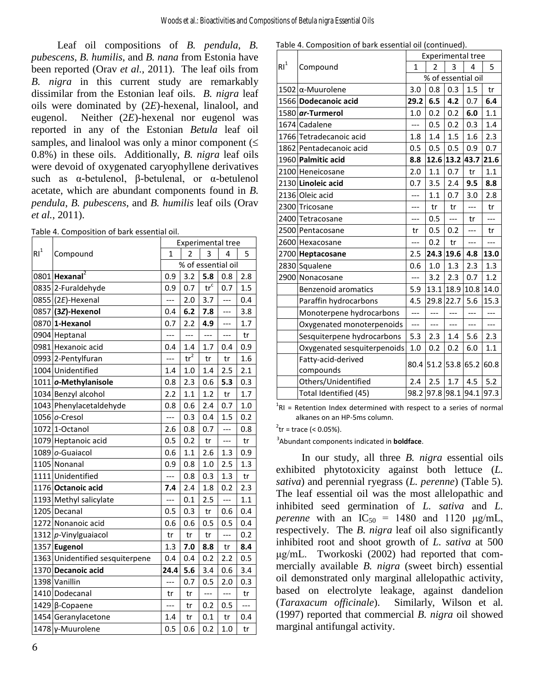Leaf oil compositions of *B. pendula*, *B. pubescens*, *B. humilis*, and *B. nana* from Estonia have been reported (Orav *et al.*, 2011). The leaf oils from *B. nigra* in this current study are remarkably dissimilar from the Estonian leaf oils. *B. nigra* leaf oils were dominated by (2*E*)-hexenal, linalool, and eugenol. Neither (2*E*)-hexenal nor eugenol was reported in any of the Estonian *Betula* leaf oil samples, and linalool was only a minor component  $(\leq$ 0.8%) in these oils. Additionally, *B. nigra* leaf oils were devoid of oxygenated caryophyllene derivatives such as α-betulenol, β-betulenal, or α-betulenol acetate, which are abundant components found in *B. pendula*, *B. pubescens*, and *B. humilis* leaf oils (Orav *et al.*, 2011).

|                 |                                 | <b>Experimental tree</b> |               |                             |                          |                |  |
|-----------------|---------------------------------|--------------------------|---------------|-----------------------------|--------------------------|----------------|--|
| $\mathsf{RI}^1$ | Compound                        | 1                        | 2             | 3                           | 4                        | 5              |  |
|                 |                                 | % of essential oil       |               |                             |                          |                |  |
|                 | 0801 Hexanal <sup>2</sup>       | 0.9                      | 3.2           | 5.8                         | 0.8                      | 2.8            |  |
|                 | 0835 2-Furaldehyde              | 0.9                      | 0.7           | $\operatorname{tr}^{\rm c}$ | 0.7                      | 1.5            |  |
|                 | 0855 (2E)-Hexenal               | ---                      | 2.0           | 3.7                         | $\overline{a}$           | 0.4            |  |
|                 | 0857 (32)-Hexenol               | 0.4                      | 6.2           | 7.8                         | ---                      | 3.8            |  |
|                 | 0870 1-Hexanol                  | 0.7                      | 2.2           | 4.9                         | $---$                    | 1.7            |  |
|                 | 0904 Heptanal                   | $\overline{a}$           | ---           | $---$                       | $---$                    | tr             |  |
|                 | 0981 Hexanoic acid              | 0.4                      | 1.4           | 1.7                         | 0.4                      | 0.9            |  |
|                 | 0993 2-Pentylfuran              | $\overline{a}$           | $\text{tr}^2$ | tr                          | tr                       | 1.6            |  |
|                 | 1004 Unidentified               | 1.4                      | 1.0           | 1.4                         | 2.5                      | 2.1            |  |
|                 | 1011 o-Methylanisole            | 0.8                      | 2.3           | 0.6                         | 5.3                      | 0.3            |  |
|                 | 1034 Benzyl alcohol             | 2.2                      | 1.1           | 1.2                         | tr                       | 1.7            |  |
|                 | 1043 Phenylacetaldehyde         | 0.8                      | 0.6           | 2.4                         | 0.7                      | 1.0            |  |
|                 | 1056 o-Cresol                   | ---                      | 0.3           | 0.4                         | 1.5                      | 0.2            |  |
|                 | 1072 1-Octanol                  | 2.6                      | 0.8           | 0.7                         | $\overline{\phantom{a}}$ | 0.8            |  |
|                 | 1079 Heptanoic acid             | 0.5                      | 0.2           | tr                          | ---                      | tr             |  |
|                 | 1089 o-Guaiacol                 | 0.6                      | 1.1           | 2.6                         | 1.3                      | 0.9            |  |
|                 | 1105 Nonanal                    | 0.9                      | 0.8           | 1.0                         | 2.5                      | 1.3            |  |
|                 | 1111 Unidentified               | $---$                    | 0.8           | 0.3                         | 1.3                      | tr             |  |
|                 | 1176 Octanoic acid              | 7.4                      | 2.4           | 1.8                         | 0.2                      | 2.3            |  |
|                 | 1193 Methyl salicylate          | ---                      | 0.1           | 2.5                         | $\overline{a}$           | 1.1            |  |
|                 | 1205 Decanal                    | 0.5                      | 0.3           | tr                          | 0.6                      | 0.4            |  |
|                 | 1272 Nonanoic acid              | 0.6                      | 0.6           | 0.5                         | 0.5                      | 0.4            |  |
|                 | 1312 p-Vinylguaiacol            | tr                       | tr            | tr                          | $---$                    | 0.2            |  |
|                 | 1357 Eugenol                    | 1.3                      | 7.0           | 8.8                         | tr                       | 8.4            |  |
|                 | 1363 Unidentified sesquiterpene | 0.4                      | 0.4           | 0.2                         | 2.2                      | 0.5            |  |
|                 | 1370 Decanoic acid              | 24.4                     | 5.6           | 3.4                         | 0.6                      | 3.4            |  |
|                 | 1398 Vanillin                   | ---                      | 0.7           | 0.5                         | 2.0                      | 0.3            |  |
|                 | 1410 Dodecanal                  | tr                       | tr            | $\overline{\phantom{a}}$    | $---$                    | tr             |  |
|                 | 1429 β-Copaene                  | $---$                    | tr            | 0.2                         | 0.5                      | $\overline{a}$ |  |
|                 | 1454 Geranylacetone             | 1.4                      | tr            | 0.1                         | tr                       | 0.4            |  |
|                 | 1478 γ-Muurolene                | 0.5                      | 0.6           | 0.2                         | 1.0                      | tr             |  |

| Table 4. Composition of bark essential oil (continued). |  |  |  |
|---------------------------------------------------------|--|--|--|
|---------------------------------------------------------|--|--|--|

|                 | Compound                    | <b>Experimental tree</b> |                |                     |                |       |  |  |
|-----------------|-----------------------------|--------------------------|----------------|---------------------|----------------|-------|--|--|
| RI <sup>1</sup> |                             | 1                        | $\overline{2}$ | 3                   | 4              | 5     |  |  |
|                 |                             | % of essential oil       |                |                     |                |       |  |  |
|                 | $1502$  α-Muurolene         | 3.0                      | 0.8            | 0.3                 | 1.5            | tr    |  |  |
|                 | 1566 Dodecanoic acid        | 29.2                     | 6.5            | 4.2                 | 0.7            | 6.4   |  |  |
|                 | 1580 ar-Turmerol            | 1.0                      | 0.2            | 0.2                 | 6.0            | 1.1   |  |  |
|                 | 1674 Cadalene               | ---                      | 0.5            | 0.2                 | 0.3            | 1.4   |  |  |
|                 | 1766 Tetradecanoic acid     | 1.8                      | 1.4            | 1.5                 | 1.6            | 2.3   |  |  |
|                 | 1862 Pentadecanoic acid     | 0.5                      | 0.5            | 0.5                 | 0.9            | 0.7   |  |  |
|                 | 1960 Palmitic acid          | 8.8                      |                | 12.6 13.2           | 43.7           | 21.6  |  |  |
|                 | 2100 Heneicosane            | 2.0                      | 1.1            | 0.7                 | tr             | 1.1   |  |  |
|                 | 2130 Linoleic acid          | 0.7                      | 3.5            | 2.4                 | 9.5            | 8.8   |  |  |
|                 | 2136 Oleic acid             | ---                      | 1.1            | 0.7                 | 3.0            | 2.8   |  |  |
|                 | 2300 Tricosane              |                          | tr             | tr                  | $\overline{a}$ | tr    |  |  |
|                 | 2400 Tetracosane            | ---                      | 0.5            | $---$               | tr             | $---$ |  |  |
|                 | 2500 Pentacosane            | tr                       | 0.5            | 0.2                 | ---            | tr    |  |  |
|                 | 2600 Hexacosane             | ---                      | 0.2            | tr                  | $---$          | ---   |  |  |
|                 | 2700 Heptacosane            | 2.5                      |                | 24.3 19.6           | 4.8            | 13.0  |  |  |
|                 | 2830 Squalene               | 0.6                      | 1.0            | 1.3                 | 2.3            | 1.3   |  |  |
|                 | 2900 Nonacosane             |                          | 3.2            | 2.3                 | 0.7            | 1.2   |  |  |
|                 | <b>Benzenoid aromatics</b>  | 5.9                      |                | 13.1 18.9 10.8      |                | 14.0  |  |  |
|                 | Paraffin hydrocarbons       | 4.5                      | 29.8           | 22.7                | 5.6            | 15.3  |  |  |
|                 | Monoterpene hydrocarbons    | ---                      | $---$          | $---$               | ---            | ---   |  |  |
|                 | Oxygenated monoterpenoids   | $---$                    | $---$          | ---                 | ---            | $---$ |  |  |
|                 | Sesquiterpene hydrocarbons  | 5.3                      | 2.3            | 1.4                 | 5.6            | 2.3   |  |  |
|                 | Oxygenated sesquiterpenoids | 1.0                      | 0.2            | 0.2                 | 6.0            | 1.1   |  |  |
|                 | Fatty-acid-derived          |                          |                | 80.4 51.2 53.8 65.2 |                | 60.8  |  |  |
|                 | compounds                   |                          |                |                     |                |       |  |  |
|                 | Others/Unidentified         | 2.4                      | $2.5$          | 1.7                 | 4.5            | 5.2   |  |  |
|                 | Total Identified (45)       |                          |                | 98.2 97.8 98.1 94.1 |                | 97.3  |  |  |

 ${}^{1}$ RI = Retention Index determined with respect to a series of normal alkanes on an HP-5ms column.

 $^{2}$ tr = trace (< 0.05%).

3 Abundant components indicated in **boldface**.

In our study, all three *B. nigra* essential oils exhibited phytotoxicity against both lettuce (*L. sativa*) and perennial ryegrass (*L. perenne*) (Table 5). The leaf essential oil was the most allelopathic and inhibited seed germination of *L. sativa* and *L. perenne* with an  $IC_{50} = 1480$  and 1120 μg/mL, respectively. The *B. nigra* leaf oil also significantly inhibited root and shoot growth of *L. sativa* at 500 μg/mL. Tworkoski (2002) had reported that commercially available *B. nigra* (sweet birch) essential oil demonstrated only marginal allelopathic activity, based on electrolyte leakage, against dandelion (*Taraxacum officinale*). Similarly, Wilson et al. (1997) reported that commercial *B. nigra* oil showed marginal antifungal activity.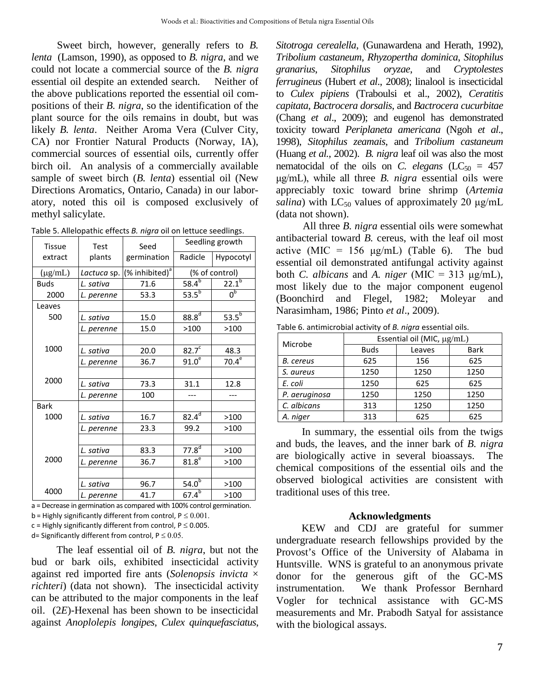Sweet birch, however, generally refers to *B. lenta* (Lamson, 1990), as opposed to *B. nigra*, and we could not locate a commercial source of the *B. nigra* essential oil despite an extended search. Neither of the above publications reported the essential oil compositions of their *B. nigra*, so the identification of the plant source for the oils remains in doubt, but was likely *B. lenta*. Neither Aroma Vera (Culver City, CA) nor Frontier Natural Products (Norway, IA), commercial sources of essential oils, currently offer birch oil. An analysis of a commercially available sample of sweet birch (*B. lenta*) essential oil (New Directions Aromatics, Ontario, Canada) in our laboratory, noted this oil is composed exclusively of methyl salicylate.

Table 5. Allelopathic effects *B. nigra* oil on lettuce seedlings.

| Tissue       | <b>Test</b> | Seed<br>germination        | Seedling growth   |                    |
|--------------|-------------|----------------------------|-------------------|--------------------|
| extract      | plants      |                            | Radicle           | Hypocotyl          |
| $(\mu g/mL)$ | Lactuca sp. | (% inhibited) <sup>a</sup> | (% of control)    |                    |
| <b>Buds</b>  | L. sativa   | 71.6                       | $58.4^{b}$        | $22.1^{b}$         |
| 2000         | L. perenne  | 53.3                       | 53.5 $^{6}$       | $0^{\overline{b}}$ |
| Leaves       |             |                            |                   |                    |
| 500          | L. sativa   | 15.0                       | 88.8 <sup>d</sup> | $53.5^{b}$         |
|              | L. perenne  | 15.0                       | >100              | >100               |
|              |             |                            |                   |                    |
| 1000         | L. sativa   | 20.0                       | 82.7 <sup>c</sup> | 48.3               |
|              | L. perenne  | 36.7                       | 91.0 <sup>e</sup> | $70.4^\mathrm{e}$  |
|              |             |                            |                   |                    |
| 2000         | L. sativa   | 73.3                       | 31.1              | 12.8               |
|              | L. perenne  | 100                        |                   |                    |
| <b>Bark</b>  |             |                            |                   |                    |
| 1000         | L. sativa   | 16.7                       | $82.4^d$          | >100               |
|              | L. perenne  | 23.3                       | 99.2              | >100               |
|              |             |                            |                   |                    |
| 2000         | L. sativa   | 83.3                       | $77.8^{d}$        | >100               |
|              | L. perenne  | 36.7                       | $81.8^{\circ}$    | >100               |
|              |             |                            |                   |                    |
| 4000         | L. sativa   | 96.7                       | 54.0 <sup>b</sup> | >100               |
|              | L. perenne  | 41.7                       | $67.4^{b}$        | >100               |

a = Decrease in germination as compared with 100% control germination.

b = Highly significantly different from control,  $P \le 0.001$ .

 $c =$  Highly significantly different from control,  $P \le 0.005$ .

d= Significantly different from control,  $P \le 0.05$ .

The leaf essential oil of *B. nigra*, but not the bud or bark oils, exhibited insecticidal activity against red imported fire ants (*Solenopsis invicta* × *richteri*) (data not shown). The insecticidal activity can be attributed to the major components in the leaf oil. (2*E*)-Hexenal has been shown to be insecticidal against *Anoplolepis longipes*, *Culex quinquefasciatus*,

*Sitotroga cerealella*, (Gunawardena and Herath, 1992), *Tribolium castaneum*, *Rhyzopertha dominica*, *Sitophilus granarius*, *Sitophilus oryzae*, and *Cryptolestes ferrugineus* (Hubert *et al*., 2008); linalool is insecticidal to *Culex pipiens* (Traboulsi et al., 2002), *Ceratitis capitata*, *Bactrocera dorsalis*, and *Bactrocera cucurbitae* (Chang *et al*., 2009); and eugenol has demonstrated toxicity toward *Periplaneta americana* (Ngoh *et al*., 1998), *Sitophilus zeamais*, and *Tribolium castaneum* (Huang *et al.*, 2002). *B. nigra* leaf oil was also the most nematocidal of the oils on *C. elegans*  $(LC_{50} = 457)$ μg/mL), while all three *B. nigra* essential oils were appreciably toxic toward brine shrimp (*Artemia salina*) with  $LC_{50}$  values of approximately 20  $\mu$ g/mL (data not shown).

All three *B. nigra* essential oils were somewhat antibacterial toward *B.* cereus, with the leaf oil most active (MIC = 156  $\mu$ g/mL) (Table 6). The bud essential oil demonstrated antifungal activity against both *C. albicans* and *A. niger* (MIC = 313 μg/mL), most likely due to the major component eugenol (Boonchird and Flegel, 1982; Moleyar and Narasimham, 1986; Pinto *et al*., 2009).

Table 6. antimicrobial activity of *B. nigra* essential oils.

| Microbe       | Essential oil (MIC, $\mu$ g/mL) |        |             |  |
|---------------|---------------------------------|--------|-------------|--|
|               | <b>Buds</b>                     | Leaves | <b>Bark</b> |  |
| B. cereus     | 625                             | 156    | 625         |  |
| S. aureus     | 1250                            | 1250   | 1250        |  |
| E. coli       | 1250                            | 625    | 625         |  |
| P. aeruginosa | 1250                            | 1250   | 1250        |  |
| C. albicans   | 313                             | 1250   | 1250        |  |
| A. niger      | 313                             | 625    | 625         |  |

In summary, the essential oils from the twigs and buds, the leaves, and the inner bark of *B. nigra* are biologically active in several bioassays. The chemical compositions of the essential oils and the observed biological activities are consistent with traditional uses of this tree.

#### **Acknowledgments**

KEW and CDJ are grateful for summer undergraduate research fellowships provided by the Provost's Office of the University of Alabama in Huntsville. WNS is grateful to an anonymous private donor for the generous gift of the GC-MS instrumentation. We thank Professor Bernhard Vogler for technical assistance with GC-MS measurements and Mr. Prabodh Satyal for assistance with the biological assays.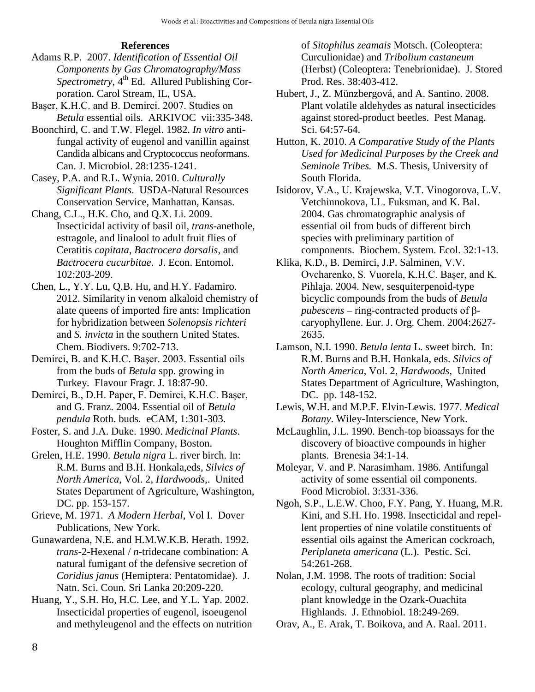#### **References**

- Adams R.P. 2007. *Identification of Essential Oil Components by Gas Chromatography/Mass Spectrometry*, 4<sup>th</sup> Ed. Allured Publishing Corporation. Carol Stream, IL, USA.
- Başer, K.H.C. and B. Demirci. 2007. Studies on *Betula* essential oils. ARKIVOC vii:335-348.
- Boonchird, C. and T.W. Flegel. 1982. *In vitro* antifungal activity of eugenol and vanillin against Candida albicans and Cryptococcus neoformans. Can. J. Microbiol. 28:1235-1241.
- Casey, P.A. and R.L. Wynia. 2010. *Culturally Significant Plants*. USDA-Natural Resources Conservation Service, Manhattan, Kansas.
- Chang, C.L., H.K. Cho, and Q.X. Li. 2009. Insecticidal activity of basil oil, *trans*-anethole, estragole, and linalool to adult fruit flies of Ceratitis *capitata*, *Bactrocera dorsalis*, and *Bactrocera cucurbitae*. J. Econ. Entomol. 102:203-209.
- Chen, L., Y.Y. Lu, Q.B. Hu, and H.Y. Fadamiro. 2012. Similarity in venom alkaloid chemistry of alate queens of imported fire ants: Implication for hybridization between *Solenopsis richteri* and *S. invicta* in the southern United States. Chem. Biodivers. 9:702-713.
- Demirci, B. and K.H.C. Başer. 2003. Essential oils from the buds of *Betula* spp. growing in Turkey. Flavour Fragr. J. 18:87-90.
- Demirci, B., D.H. Paper, F. Demirci, K.H.C. Başer, and G. Franz. 2004. Essential oil of *Betula pendula* Roth. buds. eCAM, 1:301-303.
- Foster, S. and J.A. Duke. 1990. *Medicinal Plants*. Houghton Mifflin Company, Boston.
- Grelen, H.E. 1990. *Betula nigra* L. river birch. In: R.M. Burns and B.H. Honkala,eds, *Silvics of North America*, Vol. 2, *Hardwoods*,. United States Department of Agriculture, Washington, DC. pp. 153-157.
- Grieve, M. 1971. *A Modern Herbal*, Vol I. Dover Publications, New York.
- Gunawardena, N.E. and H.M.W.K.B. Herath. 1992. *trans*-2-Hexenal / *n*-tridecane combination: A natural fumigant of the defensive secretion of *Coridius janus* (Hemiptera: Pentatomidae). J. Natn. Sci. Coun. Sri Lanka 20:209-220.
- Huang, Y., S.H. Ho, H.C. Lee, and Y.L. Yap. 2002. Insecticidal properties of eugenol, isoeugenol and methyleugenol and the effects on nutrition

of *Sitophilus zeamais* Motsch. (Coleoptera: Curculionidae) and *Tribolium castaneum* (Herbst) (Coleoptera: Tenebrionidae). J. Stored Prod. Res. 38:403-412.

- Hubert, J., Z. Münzbergová, and A. Santino. 2008. Plant volatile aldehydes as natural insecticides against stored-product beetles. Pest Manag. Sci. 64:57-64.
- Hutton, K. 2010. *A Comparative Study of the Plants Used for Medicinal Purposes by the Creek and Seminole Tribes.* M.S. Thesis, University of South Florida.
- Isidorov, V.A., U. Krajewska, V.T. Vinogorova, L.V. Vetchinnokova, I.L. Fuksman, and K. Bal. 2004. Gas chromatographic analysis of essential oil from buds of different birch species with preliminary partition of components. Biochem. System. Ecol. 32:1-13.
- Klika, K.D., B. Demirci, J.P. Salminen, V.V. Ovcharenko, S. Vuorela, K.H.C. Başer, and K. Pihlaja. 2004. New, sesquiterpenoid-type bicyclic compounds from the buds of *Betula pubescens* – ring-contracted products of βcaryophyllene. Eur. J. Org. Chem. 2004:2627- 2635.
- Lamson, N.I. 1990. *Betula lenta* L. sweet birch. In: R.M. Burns and B.H. Honkala, eds. *Silvics of North America*, Vol. 2, *Hardwoods*, United States Department of Agriculture, Washington, DC. pp. 148-152.
- Lewis, W.H. and M.P.F. Elvin-Lewis. 1977. *Medical Botany*. Wiley-Interscience, New York.
- McLaughlin, J.L. 1990. Bench-top bioassays for the discovery of bioactive compounds in higher plants. Brenesia 34:1-14.
- Moleyar, V. and P. Narasimham. 1986. Antifungal activity of some essential oil components. Food Microbiol. 3:331-336.
- Ngoh, S.P., L.E.W. Choo, F.Y. Pang, Y. Huang, M.R. Kini, and S.H. Ho. 1998. Insecticidal and repellent properties of nine volatile constituents of essential oils against the American cockroach, *Periplaneta americana* (L.). Pestic. Sci. 54:261-268.
- Nolan, J.M. 1998. The roots of tradition: Social ecology, cultural geography, and medicinal plant knowledge in the Ozark-Ouachita Highlands. J. Ethnobiol. 18:249-269.
- Orav, A., E. Arak, T. Boikova, and A. Raal. 2011.